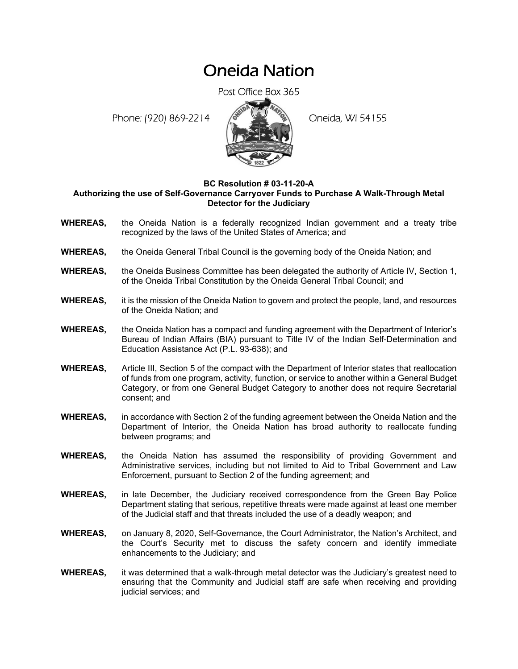## Oneida Nation

Post Office Box 365

Phone: (920) 869-2214 (8 April 194155)



## **BC Resolution # 03-11-20-A Authorizing the use of Self-Governance Carryover Funds to Purchase A Walk-Through Metal Detector for the Judiciary**

- **WHEREAS,** the Oneida Nation is a federally recognized Indian government and a treaty tribe recognized by the laws of the United States of America; and
- **WHEREAS,** the Oneida General Tribal Council is the governing body of the Oneida Nation; and
- **WHEREAS,** the Oneida Business Committee has been delegated the authority of Article IV, Section 1, of the Oneida Tribal Constitution by the Oneida General Tribal Council; and
- **WHEREAS,** it is the mission of the Oneida Nation to govern and protect the people, land, and resources of the Oneida Nation; and
- **WHEREAS,** the Oneida Nation has a compact and funding agreement with the Department of Interior's Bureau of Indian Affairs (BIA) pursuant to Title IV of the Indian Self-Determination and Education Assistance Act (P.L. 93-638); and
- **WHEREAS,** Article III, Section 5 of the compact with the Department of Interior states that reallocation of funds from one program, activity, function, or service to another within a General Budget Category, or from one General Budget Category to another does not require Secretarial consent; and
- **WHEREAS,** in accordance with Section 2 of the funding agreement between the Oneida Nation and the Department of Interior, the Oneida Nation has broad authority to reallocate funding between programs; and
- **WHEREAS,** the Oneida Nation has assumed the responsibility of providing Government and Administrative services, including but not limited to Aid to Tribal Government and Law Enforcement, pursuant to Section 2 of the funding agreement; and
- **WHEREAS,** in late December, the Judiciary received correspondence from the Green Bay Police Department stating that serious, repetitive threats were made against at least one member of the Judicial staff and that threats included the use of a deadly weapon; and
- **WHEREAS,** on January 8, 2020, Self-Governance, the Court Administrator, the Nation's Architect, and the Court's Security met to discuss the safety concern and identify immediate enhancements to the Judiciary; and
- **WHEREAS,** it was determined that a walk-through metal detector was the Judiciary's greatest need to ensuring that the Community and Judicial staff are safe when receiving and providing judicial services; and